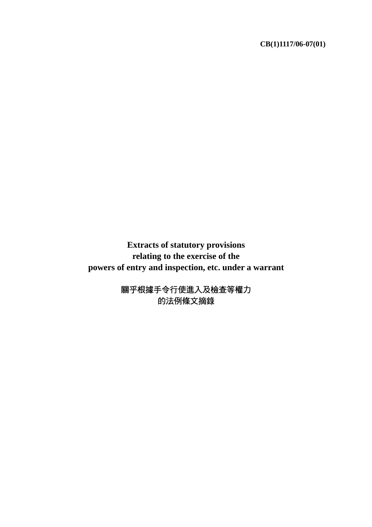**CB(1)1117/06-07(01)**

**Extracts of statutory provisions relating to the exercise of the powers of entry and inspection, etc. under a warrant** 

> 關乎根據手令行使進入及檢查等權力 的法例條文摘錄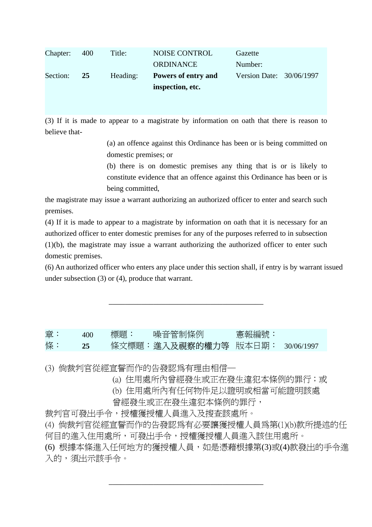| Chapter: | 400 | Title:   | <b>NOISE CONTROL</b> | Gazette                  |  |
|----------|-----|----------|----------------------|--------------------------|--|
|          |     |          | <b>ORDINANCE</b>     | Number:                  |  |
| Section: | -25 | Heading: | Powers of entry and  | Version Date: 30/06/1997 |  |
|          |     |          | inspection, etc.     |                          |  |
|          |     |          |                      |                          |  |

(3) If it is made to appear to a magistrate by information on oath that there is reason to believe that-

> (a) an offence against this Ordinance has been or is being committed on domestic premises; or

> (b) there is on domestic premises any thing that is or is likely to constitute evidence that an offence against this Ordinance has been or is being committed,

the magistrate may issue a warrant authorizing an authorized officer to enter and search such premises.

(4) If it is made to appear to a magistrate by information on oath that it is necessary for an authorized officer to enter domestic premises for any of the purposes referred to in subsection (1)(b), the magistrate may issue a warrant authorizing the authorized officer to enter such domestic premises.

(6) An authorized officer who enters any place under this section shall, if entry is by warrant issued under subsection (3) or (4), produce that warrant.

| 章: | 400 | 、標題: | 噪音管制條例                                    | 憲報編號: |  |
|----|-----|------|-------------------------------------------|-------|--|
| 條: |     |      | 條文標題: <b>進入及視察的權力等</b>   版本日期: 30/06/1997 |       |  |

\_\_\_\_\_\_\_\_\_\_\_\_\_\_\_\_\_\_\_\_\_\_\_\_\_\_\_\_\_\_\_\_\_\_\_\_\_\_

(3) 倘裁判官從經宣誓而作的告發認為有理由相信–

(a) 住用處所內曾經發生或正在發生違犯本條例的罪行;或

(b) 住用處所內有任何物件足以證明或相當可能證明該處

曾經發生或正在發生違犯本條例的罪行,

裁判官可發出手令,授權獲授權人員進入及搜查該處所。

(4) 倘裁判官從經宣誓而作的告發認為有必要讓獲授權人員為第(1)(b)款所提述的任 何目的進入住用處所,可發出手令,授權獲授權人員進入該住用處所。

(6) 根據本條進入任何地方的獲授權人員,如是憑藉根據第(3)或(4)款發出的手令進 入的,須出示該手令。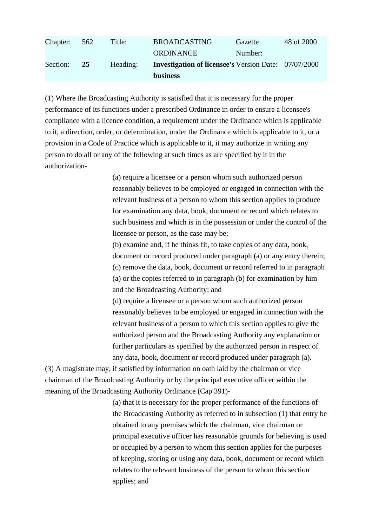| Chapter: | 562         | Title:   | <b>BROADCASTING</b>                                         | Gazette | 48 of 2000 |
|----------|-------------|----------|-------------------------------------------------------------|---------|------------|
|          |             |          | <b>ORDINANCE</b>                                            | Number: |            |
| Section: | $\sqrt{25}$ | Heading: | <b>Investigation of licensee's Version Date:</b> 07/07/2000 |         |            |
|          |             |          | <b>business</b>                                             |         |            |

(1) Where the Broadcasting Authority is satisfied that it is necessary for the proper performance of its functions under a prescribed Ordinance in order to ensure a licensee's compliance with a licence condition, a requirement under the Ordinance which is applicable to it, a direction, order, or determination, under the Ordinance which is applicable to it, or a provision in a Code of Practice which is applicable to it, it may authorize in writing any person to do all or any of the following at such times as are specified by it in the authorization-

> (a) require a licensee or a person whom such authorized person reasonably believes to be employed or engaged in connection with the relevant business of a person to whom this section applies to produce for examination any data, book, document or record which relates to such business and which is in the possession or under the control of the licensee or person, as the case may be;

> (b) examine and, if he thinks fit, to take copies of any data, book, document or record produced under paragraph (a) or any entry therein; (c) remove the data, book, document or record referred to in paragraph (a) or the copies referred to in paragraph (b) for examination by him and the Broadcasting Authority; and

> (d) require a licensee or a person whom such authorized person reasonably believes to be employed or engaged in connection with the relevant business of a person to which this section applies to give the authorized person and the Broadcasting Authority any explanation or further particulars as specified by the authorized person in respect of any data, book, document or record produced under paragraph (a).

(3) A magistrate may, if satisfied by information on oath laid by the chairman or vice chairman of the Broadcasting Authority or by the principal executive officer within the meaning of the Broadcasting Authority Ordinance (Cap 391)-

> (a) that it is necessary for the proper performance of the functions of the Broadcasting Authority as referred to in subsection (1) that entry be obtained to any premises which the chairman, vice chairman or principal executive officer has reasonable grounds for believing is used or occupied by a person to whom this section applies for the purposes of keeping, storing or using any data, book, document or record which relates to the relevant business of the person to whom this section applies; and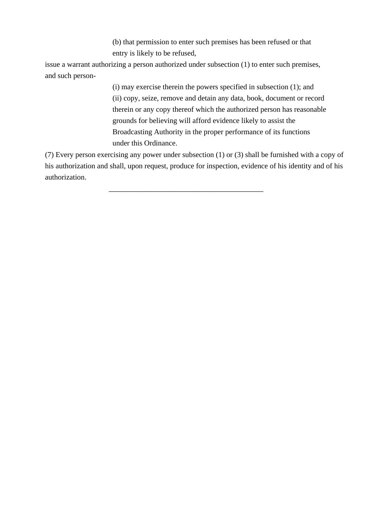(b) that permission to enter such premises has been refused or that entry is likely to be refused,

issue a warrant authorizing a person authorized under subsection (1) to enter such premises, and such person-

> (i) may exercise therein the powers specified in subsection (1); and (ii) copy, seize, remove and detain any data, book, document or record therein or any copy thereof which the authorized person has reasonable grounds for believing will afford evidence likely to assist the Broadcasting Authority in the proper performance of its functions under this Ordinance.

(7) Every person exercising any power under subsection (1) or (3) shall be furnished with a copy of his authorization and shall, upon request, produce for inspection, evidence of his identity and of his authorization.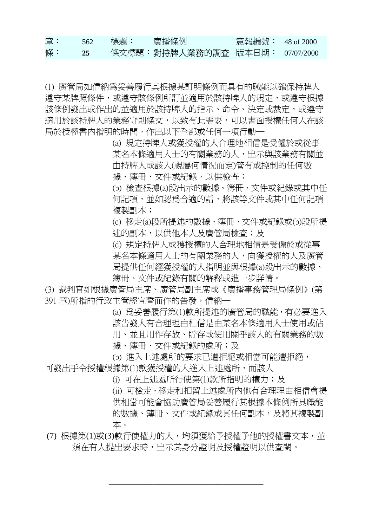| 章: | 562 | 標題: | 廣播條例                                    | 憲報編號: 48 of 2000 |  |
|----|-----|-----|-----------------------------------------|------------------|--|
| 條: |     |     | 條文標題: <b>對持牌人業務的調查</b> 版本日期: 07/07/2000 |                  |  |

(1) 廣管局如信納為妥善履行其根據某訂明條例而具有的職能以確保持牌人 遵守某牌照條件,或遵守該條例所訂並適用於該持牌人的規定,或遵守根據 該條例發出或作出的並適用於該持牌人的指示、命令、決定或裁定,或遵守 適用於該持牌人的業務守則條文,以致有此需要,可以書面授權任何人在該 局於授權書內指明的時間,作出以下全部或仟何一項行動—

> (a) 規定持牌人或獲授權的人合理地相信是受僱於或從事 某名本條滴用人士的有關業務的人,出示與該業務有關並 由持牌人或該人(視屬何情況而定)管有或控制的任何數 據、簿冊、文件或紀錄,以供檢查;

(b) 檢查根據(a)段出示的數據、簿冊、文件或紀錄或其中任 何記項,並如認為合適的話,將該等文件或其中任何記項 複製副本;

(c) 移走(a)段所提述的數據、簿冊、文件或紀錄或(b)段所提 述的副本,以供他本人及廣管局檢查;及

(d) 規定持牌人或獲授權的人合理地相信是受僱於或從事 某名本條適用人士的有關業務的人,向獲授權的人及廣管 局提供任何經獲授權的人指明並與根據(a)段出示的數據、 簿冊、文件或紀錄有關的解釋或進一步詳情。

(3) 裁判官如根據廣管局主席、廣管局副主席或《廣播事務管理局條例》(第 391 章)所指的行政主管經宣誓而作的告發,信納一

> (a) 為妥善履行第(1)款所提述的廣管局的職能,有必要進入 該告發人有合理理由相信是由某名本條適用人士使用或佔 用、並且用作存放、貯存或使用關乎該人的有關業務的數 據、簿冊、文件或紀錄的處所;及

(b) 進入上述處所的要求已遭拒絕或相當可能遭拒絕, 可發出手令授權根據第(1)款獲授權的人淮入上述處所,而該人一

(i) 可在上述處所行使第(1)款所指明的權力;及

- (ii) 可檢走、移走和扣留上述處所內他有合理理由相信會提 供相當可能會協助廣管局妥善履行其根據本條例所具職能 的數據、簿冊、文件或紀錄或其任何副本,及將其複製副 本。
- (7) 根據第(1)或(3)款行使權力的人,均須獲給予授權予他的授權書文本,並 須在有人提出要求時,出示其身分證明及授權證明以供查閱。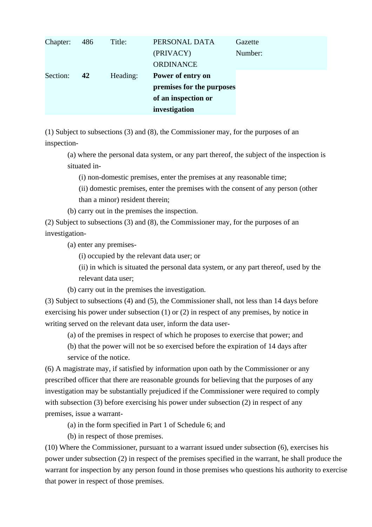| Chapter: | 486 | Title:   | PERSONAL DATA             | Gazette |
|----------|-----|----------|---------------------------|---------|
|          |     |          | (PRIVACY)                 | Number: |
|          |     |          | <b>ORDINANCE</b>          |         |
| Section: | 42  | Heading: | Power of entry on         |         |
|          |     |          | premises for the purposes |         |
|          |     |          | of an inspection or       |         |
|          |     |          | investigation             |         |

(1) Subject to subsections (3) and (8), the Commissioner may, for the purposes of an inspection-

(a) where the personal data system, or any part thereof, the subject of the inspection is situated in-

(i) non-domestic premises, enter the premises at any reasonable time;

(ii) domestic premises, enter the premises with the consent of any person (other than a minor) resident therein;

(b) carry out in the premises the inspection.

(2) Subject to subsections (3) and (8), the Commissioner may, for the purposes of an investigation-

(a) enter any premises-

(i) occupied by the relevant data user; or

(ii) in which is situated the personal data system, or any part thereof, used by the relevant data user;

(b) carry out in the premises the investigation.

(3) Subject to subsections (4) and (5), the Commissioner shall, not less than 14 days before exercising his power under subsection (1) or (2) in respect of any premises, by notice in writing served on the relevant data user, inform the data user-

(a) of the premises in respect of which he proposes to exercise that power; and

(b) that the power will not be so exercised before the expiration of 14 days after service of the notice.

(6) A magistrate may, if satisfied by information upon oath by the Commissioner or any prescribed officer that there are reasonable grounds for believing that the purposes of any investigation may be substantially prejudiced if the Commissioner were required to comply with subsection (3) before exercising his power under subsection (2) in respect of any premises, issue a warrant-

(a) in the form specified in Part 1 of Schedule 6; and

(b) in respect of those premises.

(10) Where the Commissioner, pursuant to a warrant issued under subsection (6), exercises his power under subsection (2) in respect of the premises specified in the warrant, he shall produce the warrant for inspection by any person found in those premises who questions his authority to exercise that power in respect of those premises.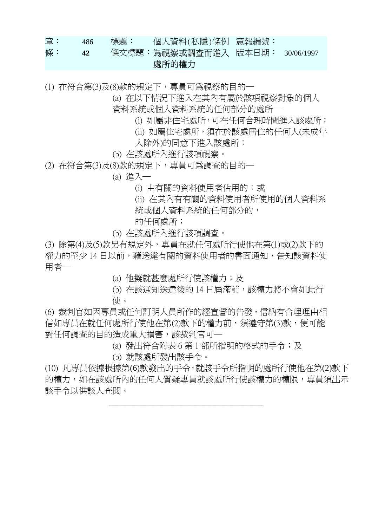## 章: 486 標題: 個人資料(私隱)條例 憲報編號: 條: **42** 條文標題:為視察或調查而進入 版本日期: 30/06/1997

處所的權力

(1) 在符合第(3)及(8)款的規定下, 專員可為視察的目的─

(a) 在以下情況下進入在其內有屬於該項視察對象的個人

資料系統或個人資料系統的任何部分的處所─

(i) 如屬非住宅處所,可在任何合理時間進入該處所;

(ii) 如屬住宅處所,須在於該處居住的任何人(未成年

人除外)的同意下進入該處所;

(b) 在該處所內進行該項視察。

(2) 在符合第(3)及(8)款的規定下,專員可為調査的目的一

(a) 進入─

(i) 由有關的資料使用者佔用的;或

(ii) 在其內有有關的資料使用者所使用的個人資料系

統或個人資料系統的任何部分的,

的任何處所;

(b) 在該處所內進行該項調查。

(3) 除第(4)及(5)款另有規定外,專員在就任何處所行使他在第(1)或(2)款下的 權力的至少 14 日以前,藉送達有關的資料使用者的書面通知,告知該資料使 用者—

(a) 他擬就甚麼處所行使該權力;及

(b) 在該通知送達後的 14 日屆滿前,該權力將不會如此行 使。

(6) 裁判官如因專員或任何訂明人員所作的經宣誓的告發,信納有合理理由相 信如專員在就任何處所行使他在第(2)款下的權力前,須遵守第(3)款,便可能 對任何調查的目的造成重大損害,該裁判官可─

(a) 發出符合附表 6 第 1 部所指明的格式的手令;及

(b) 就該處所發出該手令。

(10) 凡專員依據根據第(6)款發出的手令,就該手令所指明的處所行使他在第(2)款下 的權力,如在該處所向的任何人質疑專員就該處所行使該權力的權限,專員須出示 該手令以供該人查閱。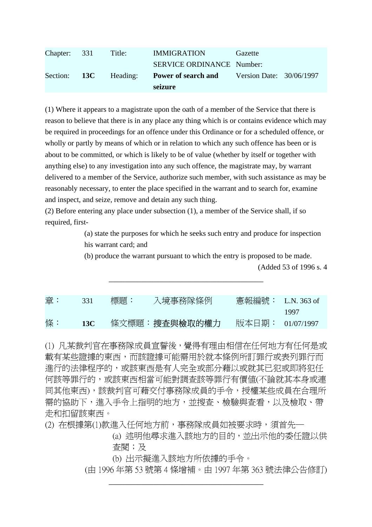| Chapter: 331 | Title:                | <b>IMMIGRATION</b>         | Gazette                  |  |
|--------------|-----------------------|----------------------------|--------------------------|--|
|              |                       | SERVICE ORDINANCE Number:  |                          |  |
|              | Section: 13C Heading: | <b>Power of search and</b> | Version Date: 30/06/1997 |  |
|              |                       | seizure                    |                          |  |

(1) Where it appears to a magistrate upon the oath of a member of the Service that there is reason to believe that there is in any place any thing which is or contains evidence which may be required in proceedings for an offence under this Ordinance or for a scheduled offence, or wholly or partly by means of which or in relation to which any such offence has been or is about to be committed, or which is likely to be of value (whether by itself or together with anything else) to any investigation into any such offence, the magistrate may, by warrant delivered to a member of the Service, authorize such member, with such assistance as may be reasonably necessary, to enter the place specified in the warrant and to search for, examine and inspect, and seize, remove and detain any such thing.

(2) Before entering any place under subsection (1), a member of the Service shall, if so required, first-

> (a) state the purposes for which he seeks such entry and produce for inspection his warrant card; and

(b) produce the warrant pursuant to which the entry is proposed to be made.

(Added 53 of 1996 s. 4

| 章: | 331 | 標題: | 入境事務隊條例                     | 憲報編號: L.N. 363 of |      |
|----|-----|-----|-----------------------------|-------------------|------|
|    |     |     |                             |                   | 1997 |
| 條: | 13C |     | 條文標題: <mark>搜査與檢取的權力</mark> | 版本日期: 01/07/1997  |      |

\_\_\_\_\_\_\_\_\_\_\_\_\_\_\_\_\_\_\_\_\_\_\_\_\_\_\_\_\_\_\_\_\_\_\_\_\_\_

(1) 凡某裁判官在事務隊成員宣誓後,覺得有理由相信在任何地方有任何是或 載有某些證據的東西,而該證據可能需用於就本條例所訂罪行或表列罪行而 進行的法律程序的,或該東西是有人完全或部分藉以或就其已犯或即將犯任 何該等罪行的,或該東西相當可能對調查該等罪行有價值(不論就其本身或連 同其他東西),該裁判官可藉交付事務隊成員的手令,授權某些成員在合理所 需的協助下,進入手令上指明的地方,並搜查、檢驗與查看,以及檢取、帶 走和扣留該東西。

(2) 在根據第(1)款進入任何地方前,事務隊成員如被要求時,須首先─

(a) 述明他尋求進入該地方的目的,並出示他的委任證以供 查閱;及

(b) 出示擬進入該地方所依據的手令。

\_\_\_\_\_\_\_\_\_\_\_\_\_\_\_\_\_\_\_\_\_\_\_\_\_\_\_\_\_\_\_\_\_\_\_\_\_\_

(由 1996 年第 53 號第 4 條增補。由 1997 年第 363 號法律公告修訂)